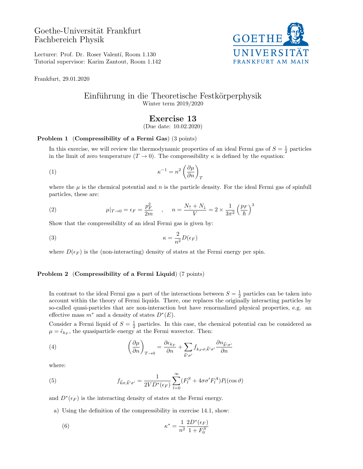# Goethe-Universität Frankfurt Fachbereich Physik



Lecturer: Prof. Dr. Roser Valentí, Room 1.130 Tutorial supervisor: Karim Zantout, Room 1.142

Frankfurt, 29.01.2020

### Einführung in die Theoretische Festkörperphysik Winter term 2019/2020

## Exercise 13

(Due date: 10.02.2020)

#### Problem 1 (Compressibility of a Fermi Gas) (3 points)

In this exercise, we will review the thermodynamic properties of an ideal Fermi gas of  $S = \frac{1}{2}$  particles in the limit of zero temperature  $(T \to 0)$ . The compressibility  $\kappa$  is defined by the equation:

$$
\kappa^{-1} = n^2 \left(\frac{\partial \mu}{\partial n}\right)_T
$$

where the  $\mu$  is the chemical potential and n is the particle density. For the ideal Fermi gas of spinfull particles, these are:

(2) 
$$
\mu|_{T \to 0} = \epsilon_F = \frac{p_F^2}{2m} \quad , \quad n = \frac{N_\uparrow + N_\downarrow}{V} = 2 \times \frac{1}{3\pi^2} \left(\frac{p_F}{\hbar}\right)^3
$$

Show that the compressibility of an ideal Fermi gas is given by:

$$
\kappa = \frac{2}{n^2} D(\epsilon_F)
$$

where  $D(\epsilon_F)$  is the (non-interacting) density of states at the Fermi energy per spin.

#### Problem 2 (Compressibility of a Fermi Liquid) (7 points)

In contrast to the ideal Fermi gas a part of the interactions between  $S = \frac{1}{2}$  particles can be taken into account within the theory of Fermi liquids. There, one replaces the originally interacting particles by so-called quasi-particles that are non-interaction but have renormalized physical properties, e.g. an effective mass  $m^*$  and a density of states  $D^*(E)$ .

Consider a Fermi liquid of  $S = \frac{1}{2}$  particles. In this case, the chemical potential can be considered as  $\mu = \tilde{\epsilon}_{k_F}$ , the quasiparticle energy at the Fermi wavector. Then:

(4) 
$$
\left(\frac{\partial \mu}{\partial n}\right)_{T \to 0} = \frac{\partial \epsilon_{k_F}}{\partial n} + \sum_{\vec{k}' \sigma'} f_{k_F \sigma; \vec{k}' \sigma'} \frac{\partial n_{\vec{k}' \sigma'}}{\partial n}
$$

where:

(5) 
$$
f_{\vec{k}\sigma;\vec{k}'\sigma'} = \frac{1}{2VD^*(\epsilon_F)} \sum_{l=0}^{\infty} (F_l^S + 4\sigma\sigma' F_l^A) P_l(\cos\vartheta)
$$

and  $D^*(\epsilon_F)$  is the interacting density of states at the Fermi energy.

a) Using the definition of the compressibility in exercise 14.1, show:

(6) 
$$
\kappa^* = \frac{1}{n^2} \frac{2D^*(\epsilon_F)}{1 + F_0^S}
$$